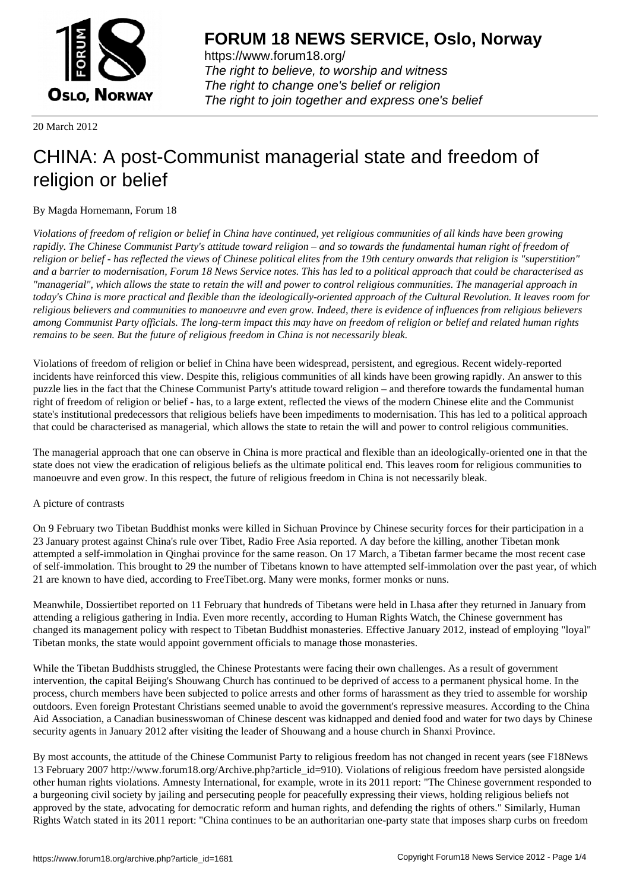

https://www.forum18.org/ The right to believe, to worship and witness The right to change one's belief or religion [The right to join together a](https://www.forum18.org/)nd express one's belief

20 March 2012

## [CHINA: A post-](https://www.forum18.org)Communist managerial state and freedom of religion or belief

## By Magda Hornemann, Forum 18

*Violations of freedom of religion or belief in China have continued, yet religious communities of all kinds have been growing rapidly. The Chinese Communist Party's attitude toward religion – and so towards the fundamental human right of freedom of religion or belief - has reflected the views of Chinese political elites from the 19th century onwards that religion is "superstition" and a barrier to modernisation, Forum 18 News Service notes. This has led to a political approach that could be characterised as "managerial", which allows the state to retain the will and power to control religious communities. The managerial approach in today's China is more practical and flexible than the ideologically-oriented approach of the Cultural Revolution. It leaves room for religious believers and communities to manoeuvre and even grow. Indeed, there is evidence of influences from religious believers among Communist Party officials. The long-term impact this may have on freedom of religion or belief and related human rights remains to be seen. But the future of religious freedom in China is not necessarily bleak.*

Violations of freedom of religion or belief in China have been widespread, persistent, and egregious. Recent widely-reported incidents have reinforced this view. Despite this, religious communities of all kinds have been growing rapidly. An answer to this puzzle lies in the fact that the Chinese Communist Party's attitude toward religion – and therefore towards the fundamental human right of freedom of religion or belief - has, to a large extent, reflected the views of the modern Chinese elite and the Communist state's institutional predecessors that religious beliefs have been impediments to modernisation. This has led to a political approach that could be characterised as managerial, which allows the state to retain the will and power to control religious communities.

The managerial approach that one can observe in China is more practical and flexible than an ideologically-oriented one in that the state does not view the eradication of religious beliefs as the ultimate political end. This leaves room for religious communities to manoeuvre and even grow. In this respect, the future of religious freedom in China is not necessarily bleak.

## A picture of contrasts

On 9 February two Tibetan Buddhist monks were killed in Sichuan Province by Chinese security forces for their participation in a 23 January protest against China's rule over Tibet, Radio Free Asia reported. A day before the killing, another Tibetan monk attempted a self-immolation in Qinghai province for the same reason. On 17 March, a Tibetan farmer became the most recent case of self-immolation. This brought to 29 the number of Tibetans known to have attempted self-immolation over the past year, of which 21 are known to have died, according to FreeTibet.org. Many were monks, former monks or nuns.

Meanwhile, Dossiertibet reported on 11 February that hundreds of Tibetans were held in Lhasa after they returned in January from attending a religious gathering in India. Even more recently, according to Human Rights Watch, the Chinese government has changed its management policy with respect to Tibetan Buddhist monasteries. Effective January 2012, instead of employing "loyal" Tibetan monks, the state would appoint government officials to manage those monasteries.

While the Tibetan Buddhists struggled, the Chinese Protestants were facing their own challenges. As a result of government intervention, the capital Beijing's Shouwang Church has continued to be deprived of access to a permanent physical home. In the process, church members have been subjected to police arrests and other forms of harassment as they tried to assemble for worship outdoors. Even foreign Protestant Christians seemed unable to avoid the government's repressive measures. According to the China Aid Association, a Canadian businesswoman of Chinese descent was kidnapped and denied food and water for two days by Chinese security agents in January 2012 after visiting the leader of Shouwang and a house church in Shanxi Province.

By most accounts, the attitude of the Chinese Communist Party to religious freedom has not changed in recent years (see F18News 13 February 2007 http://www.forum18.org/Archive.php?article\_id=910). Violations of religious freedom have persisted alongside other human rights violations. Amnesty International, for example, wrote in its 2011 report: "The Chinese government responded to a burgeoning civil society by jailing and persecuting people for peacefully expressing their views, holding religious beliefs not approved by the state, advocating for democratic reform and human rights, and defending the rights of others." Similarly, Human Rights Watch stated in its 2011 report: "China continues to be an authoritarian one-party state that imposes sharp curbs on freedom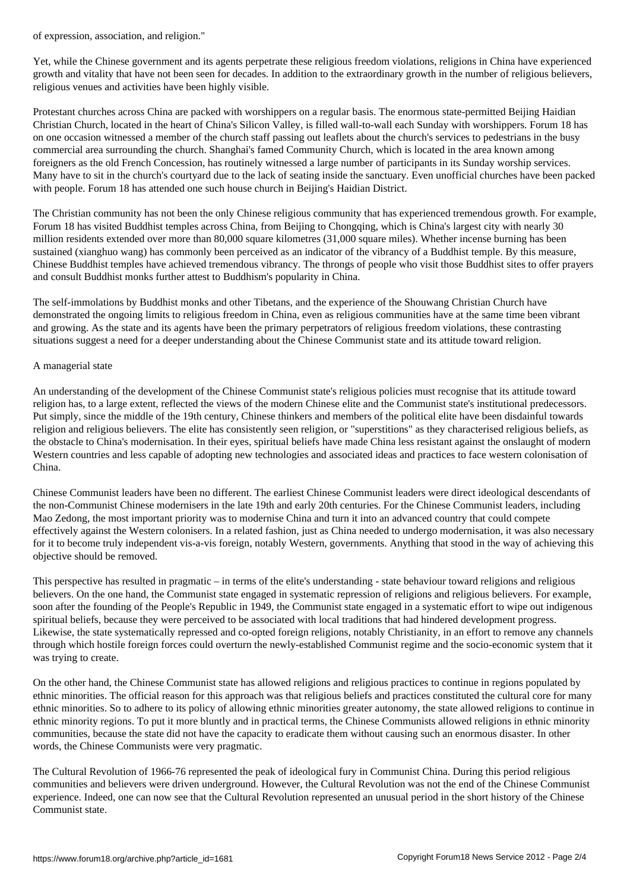Yet, while the Chinese government and its agents perpetrate these religious freedom violations, religions in China have experienced growth and vitality that have not been seen for decades. In addition to the extraordinary growth in the number of religious believers, religious venues and activities have been highly visible.

Protestant churches across China are packed with worshippers on a regular basis. The enormous state-permitted Beijing Haidian Christian Church, located in the heart of China's Silicon Valley, is filled wall-to-wall each Sunday with worshippers. Forum 18 has on one occasion witnessed a member of the church staff passing out leaflets about the church's services to pedestrians in the busy commercial area surrounding the church. Shanghai's famed Community Church, which is located in the area known among foreigners as the old French Concession, has routinely witnessed a large number of participants in its Sunday worship services. Many have to sit in the church's courtyard due to the lack of seating inside the sanctuary. Even unofficial churches have been packed with people. Forum 18 has attended one such house church in Beijing's Haidian District.

The Christian community has not been the only Chinese religious community that has experienced tremendous growth. For example, Forum 18 has visited Buddhist temples across China, from Beijing to Chongqing, which is China's largest city with nearly 30 million residents extended over more than 80,000 square kilometres (31,000 square miles). Whether incense burning has been sustained (xianghuo wang) has commonly been perceived as an indicator of the vibrancy of a Buddhist temple. By this measure, Chinese Buddhist temples have achieved tremendous vibrancy. The throngs of people who visit those Buddhist sites to offer prayers and consult Buddhist monks further attest to Buddhism's popularity in China.

The self-immolations by Buddhist monks and other Tibetans, and the experience of the Shouwang Christian Church have demonstrated the ongoing limits to religious freedom in China, even as religious communities have at the same time been vibrant and growing. As the state and its agents have been the primary perpetrators of religious freedom violations, these contrasting situations suggest a need for a deeper understanding about the Chinese Communist state and its attitude toward religion.

## A managerial state

An understanding of the development of the Chinese Communist state's religious policies must recognise that its attitude toward religion has, to a large extent, reflected the views of the modern Chinese elite and the Communist state's institutional predecessors. Put simply, since the middle of the 19th century, Chinese thinkers and members of the political elite have been disdainful towards religion and religious believers. The elite has consistently seen religion, or "superstitions" as they characterised religious beliefs, as the obstacle to China's modernisation. In their eyes, spiritual beliefs have made China less resistant against the onslaught of modern Western countries and less capable of adopting new technologies and associated ideas and practices to face western colonisation of China.

Chinese Communist leaders have been no different. The earliest Chinese Communist leaders were direct ideological descendants of the non-Communist Chinese modernisers in the late 19th and early 20th centuries. For the Chinese Communist leaders, including Mao Zedong, the most important priority was to modernise China and turn it into an advanced country that could compete effectively against the Western colonisers. In a related fashion, just as China needed to undergo modernisation, it was also necessary for it to become truly independent vis-a-vis foreign, notably Western, governments. Anything that stood in the way of achieving this objective should be removed.

This perspective has resulted in pragmatic – in terms of the elite's understanding - state behaviour toward religions and religious believers. On the one hand, the Communist state engaged in systematic repression of religions and religious believers. For example, soon after the founding of the People's Republic in 1949, the Communist state engaged in a systematic effort to wipe out indigenous spiritual beliefs, because they were perceived to be associated with local traditions that had hindered development progress. Likewise, the state systematically repressed and co-opted foreign religions, notably Christianity, in an effort to remove any channels through which hostile foreign forces could overturn the newly-established Communist regime and the socio-economic system that it was trying to create.

On the other hand, the Chinese Communist state has allowed religions and religious practices to continue in regions populated by ethnic minorities. The official reason for this approach was that religious beliefs and practices constituted the cultural core for many ethnic minorities. So to adhere to its policy of allowing ethnic minorities greater autonomy, the state allowed religions to continue in ethnic minority regions. To put it more bluntly and in practical terms, the Chinese Communists allowed religions in ethnic minority communities, because the state did not have the capacity to eradicate them without causing such an enormous disaster. In other words, the Chinese Communists were very pragmatic.

The Cultural Revolution of 1966-76 represented the peak of ideological fury in Communist China. During this period religious communities and believers were driven underground. However, the Cultural Revolution was not the end of the Chinese Communist experience. Indeed, one can now see that the Cultural Revolution represented an unusual period in the short history of the Chinese Communist state.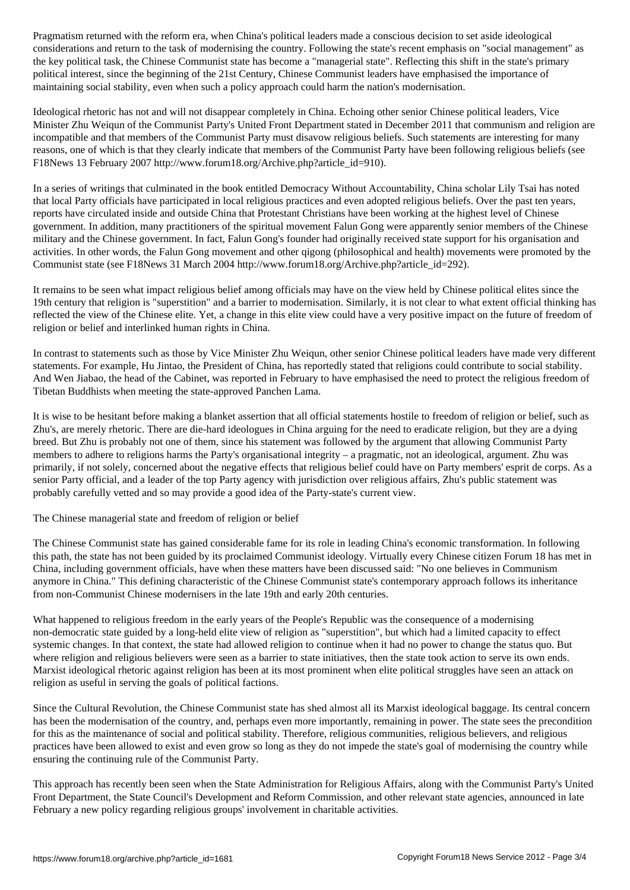considerations and return to the task of modernising the country. Following the state's recent emphasis on "social management" as the key political task, the Chinese Communist state has become a "managerial state". Reflecting this shift in the state's primary political interest, since the beginning of the 21st Century, Chinese Communist leaders have emphasised the importance of maintaining social stability, even when such a policy approach could harm the nation's modernisation.

Ideological rhetoric has not and will not disappear completely in China. Echoing other senior Chinese political leaders, Vice Minister Zhu Weiqun of the Communist Party's United Front Department stated in December 2011 that communism and religion are incompatible and that members of the Communist Party must disavow religious beliefs. Such statements are interesting for many reasons, one of which is that they clearly indicate that members of the Communist Party have been following religious beliefs (see F18News 13 February 2007 http://www.forum18.org/Archive.php?article\_id=910).

In a series of writings that culminated in the book entitled Democracy Without Accountability, China scholar Lily Tsai has noted that local Party officials have participated in local religious practices and even adopted religious beliefs. Over the past ten years, reports have circulated inside and outside China that Protestant Christians have been working at the highest level of Chinese government. In addition, many practitioners of the spiritual movement Falun Gong were apparently senior members of the Chinese military and the Chinese government. In fact, Falun Gong's founder had originally received state support for his organisation and activities. In other words, the Falun Gong movement and other qigong (philosophical and health) movements were promoted by the Communist state (see F18News 31 March 2004 http://www.forum18.org/Archive.php?article\_id=292).

It remains to be seen what impact religious belief among officials may have on the view held by Chinese political elites since the 19th century that religion is "superstition" and a barrier to modernisation. Similarly, it is not clear to what extent official thinking has reflected the view of the Chinese elite. Yet, a change in this elite view could have a very positive impact on the future of freedom of religion or belief and interlinked human rights in China.

In contrast to statements such as those by Vice Minister Zhu Weiqun, other senior Chinese political leaders have made very different statements. For example, Hu Jintao, the President of China, has reportedly stated that religions could contribute to social stability. And Wen Jiabao, the head of the Cabinet, was reported in February to have emphasised the need to protect the religious freedom of Tibetan Buddhists when meeting the state-approved Panchen Lama.

It is wise to be hesitant before making a blanket assertion that all official statements hostile to freedom of religion or belief, such as Zhu's, are merely rhetoric. There are die-hard ideologues in China arguing for the need to eradicate religion, but they are a dying breed. But Zhu is probably not one of them, since his statement was followed by the argument that allowing Communist Party members to adhere to religions harms the Party's organisational integrity – a pragmatic, not an ideological, argument. Zhu was primarily, if not solely, concerned about the negative effects that religious belief could have on Party members' esprit de corps. As a senior Party official, and a leader of the top Party agency with jurisdiction over religious affairs, Zhu's public statement was probably carefully vetted and so may provide a good idea of the Party-state's current view.

The Chinese managerial state and freedom of religion or belief

The Chinese Communist state has gained considerable fame for its role in leading China's economic transformation. In following this path, the state has not been guided by its proclaimed Communist ideology. Virtually every Chinese citizen Forum 18 has met in China, including government officials, have when these matters have been discussed said: "No one believes in Communism anymore in China." This defining characteristic of the Chinese Communist state's contemporary approach follows its inheritance from non-Communist Chinese modernisers in the late 19th and early 20th centuries.

What happened to religious freedom in the early years of the People's Republic was the consequence of a modernising non-democratic state guided by a long-held elite view of religion as "superstition", but which had a limited capacity to effect systemic changes. In that context, the state had allowed religion to continue when it had no power to change the status quo. But where religion and religious believers were seen as a barrier to state initiatives, then the state took action to serve its own ends. Marxist ideological rhetoric against religion has been at its most prominent when elite political struggles have seen an attack on religion as useful in serving the goals of political factions.

Since the Cultural Revolution, the Chinese Communist state has shed almost all its Marxist ideological baggage. Its central concern has been the modernisation of the country, and, perhaps even more importantly, remaining in power. The state sees the precondition for this as the maintenance of social and political stability. Therefore, religious communities, religious believers, and religious practices have been allowed to exist and even grow so long as they do not impede the state's goal of modernising the country while ensuring the continuing rule of the Communist Party.

This approach has recently been seen when the State Administration for Religious Affairs, along with the Communist Party's United Front Department, the State Council's Development and Reform Commission, and other relevant state agencies, announced in late February a new policy regarding religious groups' involvement in charitable activities.